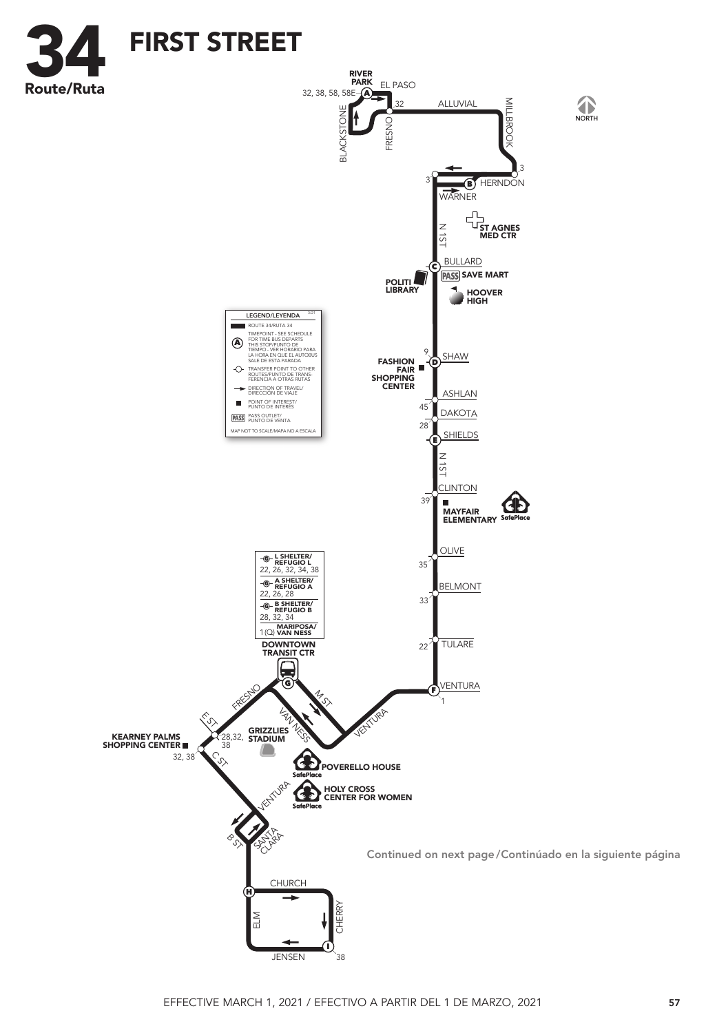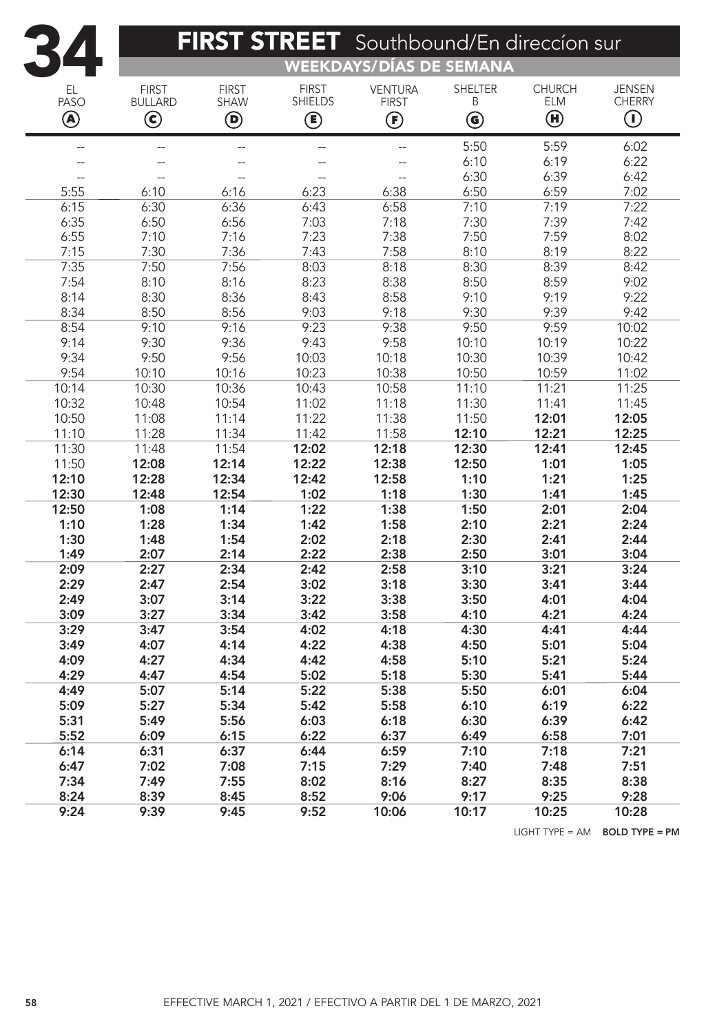|              | FIRST STREET Southbound/En direccion sur |                             |                                |                                          |                                         |                             |                                |  |  |  |
|--------------|------------------------------------------|-----------------------------|--------------------------------|------------------------------------------|-----------------------------------------|-----------------------------|--------------------------------|--|--|--|
|              |                                          |                             |                                | <b>WEEKDAYS/DÍAS DE SEMANA</b>           |                                         |                             |                                |  |  |  |
| EL<br>PASO   | <b>FIRST</b><br><b>BULLARD</b>           | <b>FIRST</b><br><b>SHAW</b> | <b>FIRST</b><br><b>SHIELDS</b> | <b>VENTURA</b><br><b>FIRST</b>           | <b>SHELTER</b><br>Β                     | <b>CHURCH</b><br><b>ELM</b> | <b>JENSEN</b><br><b>CHERRY</b> |  |  |  |
| ◉            | $\circledS$                              | $\bm{\mathsf{\Theta}}$      | ◉                              | $\bm{\mathop{\textcircled{\textsf{F}}}}$ | $\textcircled{\scriptsize{\textbf{6}}}$ | $\bm \Theta$                | $\textcircled{\scriptsize{1}}$ |  |  |  |
| $-$          | $\overline{\phantom{a}}$                 | $\overline{\phantom{a}}$    | --                             | $\overline{a}$                           | 5:50                                    | 5:59                        | 6:02                           |  |  |  |
|              |                                          | --                          |                                | $-$                                      | 6:10                                    | 6:19                        | 6:22                           |  |  |  |
|              | $\overline{\phantom{a}}$                 | --                          | --                             | $\overline{\phantom{a}}$                 | 6:30                                    | 6:39                        | 6:42                           |  |  |  |
| 5:55         | 6:10                                     | 6:16                        | 6:23                           | 6:38                                     | 6:50                                    | 6:59                        | 7:02                           |  |  |  |
| 6:15         | 6:30                                     | 6:36                        | 6:43                           | 6:58                                     | 7:10                                    | 7:19                        | 7:22                           |  |  |  |
| 6:35         | 6:50                                     | 6:56                        | 7:03                           | 7:18                                     | 7:30                                    | 7:39                        | 7:42                           |  |  |  |
| 6:55         | 7:10                                     | 7:16                        | 7:23                           | 7:38                                     | 7:50                                    | 7:59                        | 8:02                           |  |  |  |
| 7:15         | 7:30                                     | 7:36                        | 7:43                           | 7:58                                     | 8:10                                    | 8:19                        | 8:22                           |  |  |  |
| 7:35         | 7:50                                     | 7:56                        | 8:03                           | 8:18                                     | 8:30                                    | 8:39                        | 8:42                           |  |  |  |
| 7:54         | 8:10                                     | 8:16                        | 8:23                           | 8:38                                     | 8:50                                    | 8:59                        | 9:02                           |  |  |  |
| 8:14         | 8:30                                     | 8:36                        | 8:43                           | 8:58                                     | 9:10                                    | 9:19                        | 9:22                           |  |  |  |
| 8:34         | 8:50                                     | 8:56                        | 9:03                           | 9:18                                     | 9:30                                    | 9:39                        | 9:42                           |  |  |  |
| 8:54         | 9:10                                     | 9:16                        | 9:23                           | 9:38                                     | 9:50                                    | 9:59                        | 10:02                          |  |  |  |
| 9:14         | 9:30                                     | 9:36                        | 9:43                           | 9:58                                     | 10:10                                   | 10:19                       | 10:22                          |  |  |  |
| 9:34         | 9:50                                     | 9:56                        | 10:03                          | 10:18                                    | 10:30                                   | 10:39                       | 10:42                          |  |  |  |
| 9:54         | 10:10                                    | 10:16                       | 10:23                          | 10:38                                    | 10:50                                   | 10:59                       | 11:02                          |  |  |  |
| 10:14        | 10:30                                    | 10:36                       | 10:43                          | 10:58                                    | 11:10                                   | 11:21                       | 11:25                          |  |  |  |
| 10:32        | 10:48                                    | 10:54                       | 11:02                          | 11:18                                    | 11:30                                   | 11:41                       | 11:45                          |  |  |  |
| 10:50        | 11:08                                    | 11:14                       | 11:22                          | 11:38                                    | 11:50                                   | 12:01                       | 12:05                          |  |  |  |
| 11:10        | 11:28                                    | 11:34                       | 11:42                          | 11:58                                    | 12:10                                   | 12:21                       | 12:25                          |  |  |  |
| 11:30        | 11:48                                    | 11:54                       | 12:02                          | 12:18                                    | 12:30                                   | 12:41                       | 12:45                          |  |  |  |
| 11:50        | 12:08                                    | 12:14                       | 12:22                          | 12:38                                    | 12:50                                   | 1:01                        | 1:05                           |  |  |  |
| 12:10        | 12:28                                    | 12:34                       | 12:42                          | 12:58                                    | 1:10                                    | 1:21                        | 1:25                           |  |  |  |
| 12:30        | 12:48                                    | 12:54                       | 1:02                           | 1:18                                     | 1:30                                    | 1:41                        | 1:45                           |  |  |  |
| 12:50        | 1:08                                     | 1:14                        | 1:22                           | 1:38                                     | 1:50                                    | 2:01                        | 2:04                           |  |  |  |
| 1:10         | 1:28                                     | 1:34                        | 1:42                           | 1:58                                     | 2:10                                    | 2:21                        | 2:24                           |  |  |  |
| 1:30         | 1:48                                     | 1:54                        | 2:02                           | 2:18                                     | 2:30                                    | 2:41                        | 2:44                           |  |  |  |
| 1:49         | 2:07                                     | 2:14                        | 2:22                           | 2:38                                     | 2:50                                    | 3:01                        | 3:04                           |  |  |  |
| 2:09         | 2:27                                     | 2:34                        | 2:42                           | 2:58                                     | 3:10                                    | 3:21                        | 3:24                           |  |  |  |
| 2:29         | 2:47                                     | 2:54                        | 3:02                           | 3:18                                     | 3:30                                    | 3:41                        | 3:44                           |  |  |  |
| 2:49         | 3:07                                     | 3:14                        | 3:22                           | 3:38                                     | 3:50                                    | 4:01                        | 4:04                           |  |  |  |
| 3:09         | 3:27                                     | 3:34                        | 3:42                           | 3:58                                     | 4:10                                    | 4:21                        | 4:24                           |  |  |  |
| 3:29         | 3:47                                     | 3:54                        | 4:02                           | 4:18                                     | 4:30                                    | 4:41                        | 4:44                           |  |  |  |
| 3:49         | 4:07                                     | 4:14                        | 4:22                           | 4:38                                     | 4:50                                    | 5:01                        | 5:04                           |  |  |  |
| 4:09         | 4:27                                     | 4:34                        | 4:42                           | 4:58                                     | 5:10                                    | 5:21                        | 5:24                           |  |  |  |
| 4:29         | 4:47                                     | 4:54                        | 5:02                           | 5:18                                     | 5:30                                    | 5:41                        | 5:44                           |  |  |  |
| 4:49         | 5:07                                     | 5:14                        | 5:22                           | 5:38                                     | 5:50                                    | 6:01                        | 6:04                           |  |  |  |
| 5:09         | 5:27                                     | 5:34                        | 5:42                           | 5:58                                     | 6:10                                    | 6:19                        | 6:22                           |  |  |  |
| 5:31         | 5:49                                     | 5:56                        | 6:03                           | 6:18                                     | 6:30                                    | 6:39                        | 6:42                           |  |  |  |
| 5:52         | 6:09                                     | 6:15                        | 6:22                           | 6:37                                     | 6:49                                    | 6:58                        | 7:01                           |  |  |  |
| 6:14         | 6:31                                     | 6:37                        | 6:44                           | 6:59                                     | 7:10                                    | 7:18                        | 7:21                           |  |  |  |
| 6:47         | 7:02                                     | 7:08                        | 7:15                           | 7:29                                     | 7:40                                    | 7:48                        | 7:51<br>8:38                   |  |  |  |
| 7:34<br>8:24 | 7:49<br>8:39                             | 7:55<br>8:45                | 8:02<br>8:52                   | 8:16<br>9:06                             | 8:27<br>9:17                            | 8:35<br>9:25                | 9:28                           |  |  |  |
| 9:24         | 9:39                                     | 9:45                        | 9:52                           | 10:06                                    | 10:17                                   | 10:25                       | 10:28                          |  |  |  |
|              |                                          |                             |                                |                                          |                                         |                             |                                |  |  |  |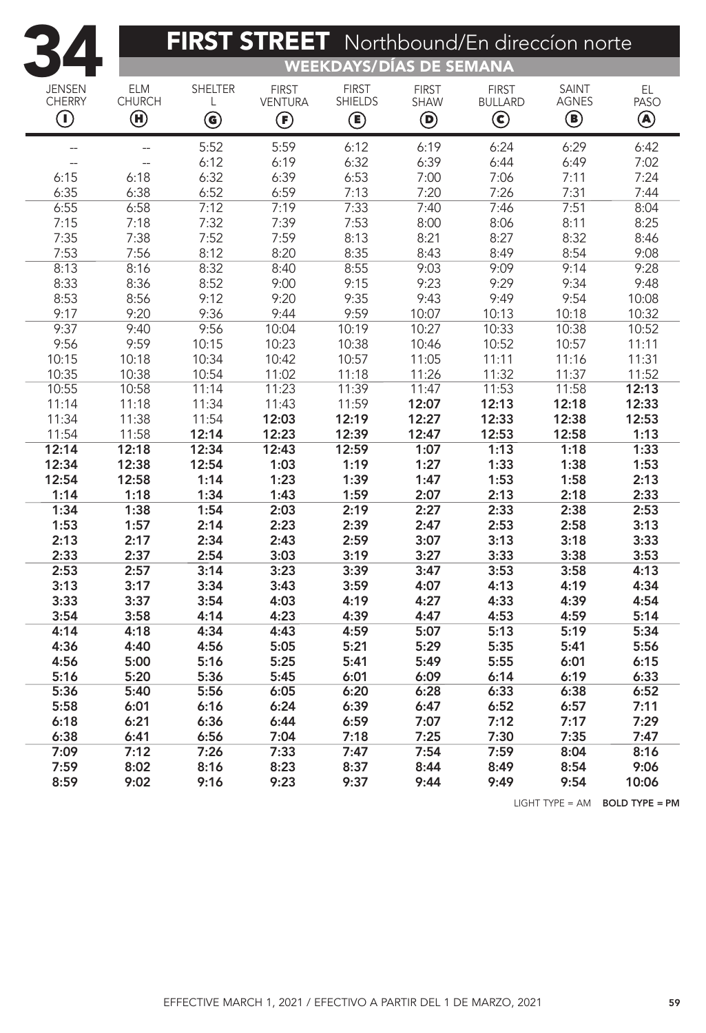| FIRST STREET Northbound/En direccion norte                       |                                                        |                                                                |                                               |                                                             |                                                       |                                                         |                                   |                  |  |  |
|------------------------------------------------------------------|--------------------------------------------------------|----------------------------------------------------------------|-----------------------------------------------|-------------------------------------------------------------|-------------------------------------------------------|---------------------------------------------------------|-----------------------------------|------------------|--|--|
| <b>WEEKDAYS/DÍAS DE SEMANA</b>                                   |                                                        |                                                                |                                               |                                                             |                                                       |                                                         |                                   |                  |  |  |
| <b>JENSEN</b><br><b>CHERRY</b><br>$\textcircled{\scriptsize{1}}$ | <b>ELM</b><br><b>CHURCH</b><br>$\textcircled{\tiny H}$ | <b>SHELTER</b><br>L<br>$\textcircled{\scriptsize{\textbf{6}}}$ | <b>FIRST</b><br><b>VENTURA</b><br>$\bigoplus$ | <b>FIRST</b><br><b>SHIELDS</b><br>$\textcircled{\small{1}}$ | <b>FIRST</b><br><b>SHAW</b><br>$\bm{\mathsf{\Theta}}$ | <b>FIRST</b><br><b>BULLARD</b><br>$\bm{\mathsf{\odot}}$ | <b>SAINT</b><br><b>AGNES</b><br>◉ | EL.<br>PASO<br>◉ |  |  |
| --                                                               | --                                                     | 5:52                                                           | 5:59                                          | 6:12                                                        | 6:19                                                  | 6:24                                                    | 6:29                              | 6:42             |  |  |
|                                                                  |                                                        | 6:12                                                           | 6:19                                          | 6:32                                                        | 6:39                                                  | 6:44                                                    | 6:49                              | 7:02             |  |  |
| 6:15                                                             | 6:18                                                   | 6:32                                                           | 6:39                                          | 6:53                                                        | 7:00                                                  | 7:06                                                    | 7:11                              | 7:24             |  |  |
| 6:35                                                             | 6:38                                                   | 6:52                                                           | 6:59                                          | 7:13                                                        | 7:20                                                  | 7:26                                                    | 7:31                              | 7:44             |  |  |
| 6:55                                                             | 6:58                                                   | 7:12                                                           | 7:19                                          | 7:33                                                        | 7:40                                                  | 7:46                                                    | 7:51                              | 8:04             |  |  |
| 7:15                                                             | 7:18                                                   | 7:32                                                           | 7:39                                          | 7:53                                                        | 8:00                                                  | 8:06                                                    | 8:11                              | 8:25             |  |  |
| 7:35                                                             | 7:38                                                   | 7:52                                                           | 7:59                                          | 8:13                                                        | 8:21                                                  | 8:27                                                    | 8:32                              | 8:46             |  |  |
| 7:53                                                             | 7:56                                                   | 8:12                                                           | 8:20                                          | 8:35                                                        | 8:43                                                  | 8:49                                                    | 8:54                              | 9:08             |  |  |
| 8:13                                                             | 8:16                                                   | 8:32                                                           | 8:40                                          | 8:55                                                        | 9:03                                                  | 9:09                                                    | 9:14                              | 9:28             |  |  |
| 8:33                                                             | 8:36                                                   | 8:52                                                           | 9:00                                          | 9:15                                                        | 9:23                                                  | 9:29                                                    | 9:34                              | 9:48             |  |  |
| 8:53                                                             | 8:56                                                   | 9:12                                                           | 9:20                                          | 9:35                                                        | 9:43                                                  | 9:49                                                    | 9:54                              | 10:08            |  |  |
| 9:17                                                             | 9:20                                                   | 9:36                                                           | 9:44                                          | 9:59                                                        | 10:07                                                 | 10:13                                                   | 10:18                             | 10:32            |  |  |
| 9:37                                                             | 9:40                                                   | 9:56                                                           | 10:04                                         | 10:19                                                       | 10:27                                                 | 10:33                                                   | 10:38                             | 10:52            |  |  |
| 9:56                                                             | 9:59                                                   | 10:15                                                          | 10:23                                         | 10:38                                                       | 10:46                                                 | 10:52                                                   | 10:57                             | 11:11            |  |  |
| 10:15                                                            | 10:18                                                  | 10:34                                                          | 10:42                                         | 10:57                                                       | 11:05                                                 | 11:11                                                   | 11:16                             | 11:31            |  |  |
| 10:35                                                            | 10:38                                                  | 10:54                                                          | 11:02                                         | 11:18                                                       | 11:26                                                 | 11:32                                                   | 11:37                             | 11:52            |  |  |
| 10:55                                                            | 10:58                                                  | 11:14                                                          | 11:23                                         | 11:39                                                       | 11:47                                                 | 11:53                                                   | 11:58                             | 12:13            |  |  |
| 11:14                                                            | 11:18                                                  | 11:34                                                          | 11:43                                         | 11:59                                                       | 12:07                                                 | 12:13                                                   | 12:18                             | 12:33            |  |  |
| 11:34                                                            | 11:38                                                  | 11:54                                                          | 12:03                                         | 12:19                                                       | 12:27                                                 | 12:33                                                   | 12:38                             | 12:53            |  |  |
| 11:54                                                            | 11:58                                                  | 12:14                                                          | 12:23                                         | 12:39                                                       | 12:47                                                 | 12:53                                                   | 12:58                             | 1:13             |  |  |
| 12:14                                                            | 12:18                                                  | 12:34                                                          | 12:43                                         | 12:59                                                       | 1:07                                                  | 1:13                                                    | 1:18                              | 1:33             |  |  |
| 12:34                                                            | 12:38                                                  | 12:54                                                          | 1:03                                          | 1:19                                                        | 1:27                                                  | 1:33                                                    | 1:38                              | 1:53             |  |  |
| 12:54                                                            | 12:58                                                  | 1:14                                                           | 1:23                                          | 1:39                                                        | 1:47                                                  | 1:53                                                    | 1:58                              | 2:13             |  |  |
| 1:14                                                             | 1:18                                                   | 1:34                                                           | 1:43                                          | 1:59                                                        | 2:07                                                  | 2:13                                                    | 2:18                              | 2:33             |  |  |
| 1:34                                                             | 1:38                                                   | 1:54                                                           | 2:03                                          | 2:19                                                        | 2:27                                                  | 2:33                                                    | 2:38                              | 2:53             |  |  |
| 1:53                                                             | 1:57                                                   | 2:14                                                           | 2:23                                          | 2:39                                                        | 2:47                                                  | 2:53                                                    | 2:58                              | 3:13             |  |  |
| 2:13                                                             | 2:17                                                   | 2:34                                                           | 2:43                                          | 2:59                                                        | 3:07                                                  | 3:13                                                    | 3:18                              | 3:33             |  |  |
| 2:33                                                             | 2:37                                                   | 2:54                                                           | 3:03                                          | 3:19                                                        | 3:27                                                  | 3:33                                                    | 3:38                              | 3:53             |  |  |
| 2:53                                                             | 2:57                                                   | 3:14                                                           | 3:23                                          | 3:39                                                        | 3:47                                                  | 3:53                                                    | 3:58                              | 4:13             |  |  |
| 3:13                                                             | 3:17                                                   | 3:34                                                           | 3:43                                          | 3:59                                                        | 4:07                                                  | 4:13                                                    | 4:19                              | 4:34             |  |  |
| 3:33                                                             | 3:37                                                   | 3:54                                                           | 4:03                                          | 4:19                                                        | 4:27                                                  | 4:33                                                    | 4:39                              | 4:54             |  |  |
| 3:54                                                             | 3:58                                                   | 4:14                                                           | 4:23                                          | 4:39                                                        | 4:47                                                  | 4:53                                                    | 4:59                              | 5:14             |  |  |
| 4:14                                                             | 4:18                                                   | 4:34                                                           | 4:43                                          | 4:59                                                        | 5:07                                                  | 5:13                                                    | 5:19                              | 5:34             |  |  |
| 4:36                                                             | 4:40                                                   | 4:56                                                           | 5:05                                          | 5:21<br>5:41                                                | 5:29                                                  | 5:35                                                    | 5:41                              | 5:56             |  |  |
| 4:56                                                             | 5:00                                                   | 5:16                                                           | 5:25                                          |                                                             | 5:49                                                  | 5:55                                                    | 6:01                              | 6:15             |  |  |
| 5:16<br>5:36                                                     | 5:20<br>5:40                                           | 5:36<br>5:56                                                   | 5:45<br>6:05                                  | 6:01<br>6:20                                                | 6:09<br>6:28                                          | 6:14<br>6:33                                            | 6:19<br>6:38                      | 6:33<br>6:52     |  |  |
| 5:58                                                             | 6:01                                                   | 6:16                                                           | 6:24                                          | 6:39                                                        | 6:47                                                  | 6:52                                                    | 6:57                              | 7:11             |  |  |
| 6:18                                                             | 6:21                                                   | 6:36                                                           | 6:44                                          | 6:59                                                        | 7:07                                                  | 7:12                                                    | 7:17                              | 7:29             |  |  |
| 6:38                                                             | 6:41                                                   | 6:56                                                           | 7:04                                          | 7:18                                                        | 7:25                                                  | 7:30                                                    | 7:35                              | 7:47             |  |  |
| 7:09                                                             | 7:12                                                   | 7:26                                                           | 7:33                                          | 7:47                                                        | 7:54                                                  | 7:59                                                    | 8:04                              | 8:16             |  |  |
| 7:59                                                             | 8:02                                                   | 8:16                                                           | 8:23                                          | 8:37                                                        | 8:44                                                  | 8:49                                                    | 8:54                              | 9:06             |  |  |
| 8:59                                                             | 9:02                                                   | 9:16                                                           | 9:23                                          | 9:37                                                        | 9:44                                                  | 9:49                                                    | 9:54                              |                  |  |  |
|                                                                  |                                                        |                                                                |                                               |                                                             |                                                       |                                                         |                                   | 10:06            |  |  |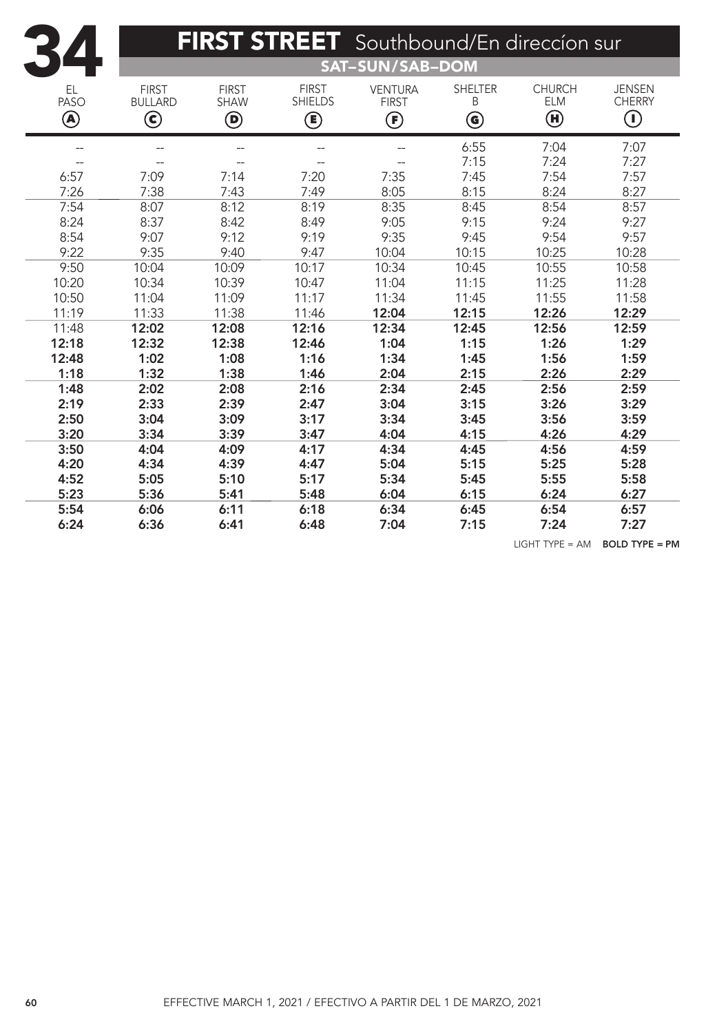| 34                     |                                                         |                                           |                                     | FIRST STREET Southbound/En direccion sur            |                                          |                                                           |                                                                  |  |  |  |
|------------------------|---------------------------------------------------------|-------------------------------------------|-------------------------------------|-----------------------------------------------------|------------------------------------------|-----------------------------------------------------------|------------------------------------------------------------------|--|--|--|
|                        | <b>SAT-SUN/SAB-DOM</b>                                  |                                           |                                     |                                                     |                                          |                                                           |                                                                  |  |  |  |
| EL<br><b>PASO</b><br>◉ | <b>FIRST</b><br><b>BULLARD</b><br>$\bm{\mathsf{\odot}}$ | <b>FIRST</b><br><b>SHAW</b><br>$\bigcirc$ | <b>FIRST</b><br><b>SHIELDS</b><br>◉ | <b>VENTURA</b><br><b>FIRST</b><br>$\bm{\mathbb{G}}$ | <b>SHELTER</b><br>B<br>$\bm{\mathsf{G}}$ | <b>CHURCH</b><br><b>ELM</b><br>$\textcircled{\textbf{H}}$ | <b>JENSEN</b><br><b>CHERRY</b><br>$\textcircled{\scriptsize{1}}$ |  |  |  |
| --                     |                                                         |                                           |                                     | --                                                  | 6:55                                     | 7:04                                                      | 7:07                                                             |  |  |  |
|                        |                                                         |                                           |                                     |                                                     | 7:15                                     | 7:24                                                      | 7:27                                                             |  |  |  |
| 6:57                   | 7:09                                                    | 7:14                                      | 7:20                                | 7:35                                                | 7:45                                     | 7:54                                                      | 7:57                                                             |  |  |  |
| 7:26                   | 7:38                                                    | 7:43                                      | 7:49                                | 8:05                                                | 8:15                                     | 8:24                                                      | 8:27                                                             |  |  |  |
| 7:54                   | 8:07                                                    | 8:12                                      | 8:19                                | 8:35                                                | 8:45                                     | 8:54                                                      | 8:57                                                             |  |  |  |
| 8:24                   | 8:37                                                    | 8:42                                      | 8:49                                | 9:05                                                | 9:15                                     | 9:24                                                      | 9:27                                                             |  |  |  |
| 8:54                   | 9:07                                                    | 9:12                                      | 9:19                                | 9:35                                                | 9:45                                     | 9:54                                                      | 9:57                                                             |  |  |  |
| 9:22                   | 9:35                                                    | 9:40                                      | 9:47                                | 10:04                                               | 10:15                                    | 10:25                                                     | 10:28                                                            |  |  |  |
| 9:50                   | 10:04                                                   | 10:09                                     | 10:17                               | 10:34                                               | 10:45                                    | 10:55                                                     | 10:58                                                            |  |  |  |
| 10:20                  | 10:34                                                   | 10:39                                     | 10:47                               | 11:04                                               | 11:15                                    | 11:25                                                     | 11:28                                                            |  |  |  |
| 10:50                  | 11:04                                                   | 11:09                                     | 11:17                               | 11:34                                               | 11:45                                    | 11:55                                                     | 11:58                                                            |  |  |  |
| 11:19                  | 11:33                                                   | 11:38                                     | 11:46                               | 12:04                                               | 12:15                                    | 12:26                                                     | 12:29                                                            |  |  |  |
| 11:48                  | 12:02                                                   | 12:08                                     | 12:16                               | 12:34                                               | 12:45                                    | 12:56                                                     | 12:59                                                            |  |  |  |
| 12:18                  | 12:32                                                   | 12:38                                     | 12:46                               | 1:04                                                | 1:15                                     | 1:26                                                      | 1:29                                                             |  |  |  |
| 12:48                  | 1:02                                                    | 1:08                                      | 1:16                                | 1:34                                                | 1:45                                     | 1:56                                                      | 1:59                                                             |  |  |  |
| 1:18                   | 1:32                                                    | 1:38                                      | 1:46                                | 2:04                                                | 2:15                                     | 2:26                                                      | 2:29                                                             |  |  |  |
| 1:48                   | 2:02                                                    | 2:08                                      | 2:16                                | 2:34                                                | 2:45                                     | 2:56                                                      | 2:59                                                             |  |  |  |
| 2:19                   | 2:33                                                    | 2:39                                      | 2:47                                | 3:04                                                | 3:15                                     | 3:26                                                      | 3:29                                                             |  |  |  |
| 2:50                   | 3:04                                                    | 3:09                                      | 3:17                                | 3:34                                                | 3:45                                     | 3:56                                                      | 3:59                                                             |  |  |  |
| 3:20                   | 3:34                                                    | 3:39                                      | 3:47                                | 4:04                                                | 4:15                                     | 4:26                                                      | 4:29                                                             |  |  |  |
| 3:50                   | 4:04                                                    | 4:09                                      | 4:17                                | 4:34                                                | 4:45                                     | 4:56                                                      | 4:59                                                             |  |  |  |
| 4:20                   | 4:34                                                    | 4:39                                      | 4:47                                | 5:04                                                | 5:15                                     | 5:25                                                      | 5:28                                                             |  |  |  |
| 4:52                   | 5:05                                                    | 5:10                                      | 5:17                                | 5:34                                                | 5:45                                     | 5:55                                                      | 5:58                                                             |  |  |  |
| 5:23                   | 5:36                                                    | 5:41                                      | 5:48                                | 6:04                                                | 6:15                                     | 6:24                                                      | 6:27                                                             |  |  |  |
| 5:54                   | 6:06                                                    | 6:11                                      | 6:18                                | 6:34                                                | 6:45                                     | 6:54                                                      | 6:57                                                             |  |  |  |
| 6:24                   | 6:36                                                    | 6:41                                      | 6:48                                | 7:04                                                | 7:15                                     | 7:24                                                      | 7:27                                                             |  |  |  |